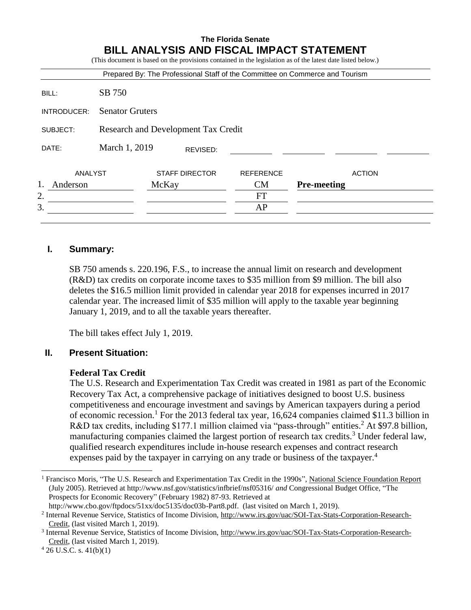|             |                                     |                       |  |                  | Prepared By: The Professional Staff of the Committee on Commerce and Tourism |
|-------------|-------------------------------------|-----------------------|--|------------------|------------------------------------------------------------------------------|
| BILL:       | SB 750                              |                       |  |                  |                                                                              |
| INTRODUCER: | <b>Senator Gruters</b>              |                       |  |                  |                                                                              |
| SUBJECT:    | Research and Development Tax Credit |                       |  |                  |                                                                              |
| DATE:       | March 1, 2019<br>REVISED:           |                       |  |                  |                                                                              |
| ANALYST     |                                     | <b>STAFF DIRECTOR</b> |  | <b>REFERENCE</b> | <b>ACTION</b>                                                                |
| Anderson    |                                     | McKay                 |  | <b>CM</b>        | <b>Pre-meeting</b>                                                           |
| 2.          |                                     |                       |  | FT               |                                                                              |
| 3.          |                                     |                       |  | AP               |                                                                              |

# **I. Summary:**

SB 750 amends s. 220.196, F.S., to increase the annual limit on research and development (R&D) tax credits on corporate income taxes to \$35 million from \$9 million. The bill also deletes the \$16.5 million limit provided in calendar year 2018 for expenses incurred in 2017 calendar year. The increased limit of \$35 million will apply to the taxable year beginning January 1, 2019, and to all the taxable years thereafter.

The bill takes effect July 1, 2019.

#### **II. Present Situation:**

#### **Federal Tax Credit**

The U.S. Research and Experimentation Tax Credit was created in 1981 as part of the Economic Recovery Tax Act, a comprehensive package of initiatives designed to boost U.S. business competitiveness and encourage investment and savings by American taxpayers during a period of economic recession.<sup>1</sup> For the 2013 federal tax year, 16,624 companies claimed \$11.3 billion in R&D tax credits, including \$177.1 million claimed via "pass-through" entities.<sup>2</sup> At \$97.8 billion, manufacturing companies claimed the largest portion of research tax credits.<sup>3</sup> Under federal law, qualified research expenditures include in-house research expenses and contract research expenses paid by the taxpayer in carrying on any trade or business of the taxpayer.<sup>4</sup>

 $\overline{a}$ 

<sup>1</sup> Francisco Moris, "The U.S. Research and Experimentation Tax Credit in the 1990s", National Science Foundation Report (July 2005). Retrieved at<http://www.nsf.gov/statistics/infbrief/nsf05316/> *and* Congressional Budget Office, "The Prospects for Economic Recovery" (February 1982) 87-93. Retrieved at

[http://www.cbo.gov/ftpdocs/51xx/doc5135/doc03b-Part8.pdf.](http://www.cbo.gov/ftpdocs/51xx/doc5135/doc03b-Part8.pdf) (last visited on March 1, 2019).

<sup>2</sup> Internal Revenue Service, Statistics of Income Division, http://www.irs.gov/uac/SOI-Tax-Stats-Corporation-Research-Credit, (last visited March 1, 2019).

<sup>&</sup>lt;sup>3</sup> Internal Revenue Service, Statistics of Income Division, http://www.irs.gov/uac/SOI-Tax-Stats-Corporation-Research-Credit, (last visited March 1, 2019).

 $4$  26 U.S.C. s.  $41(b)(1)$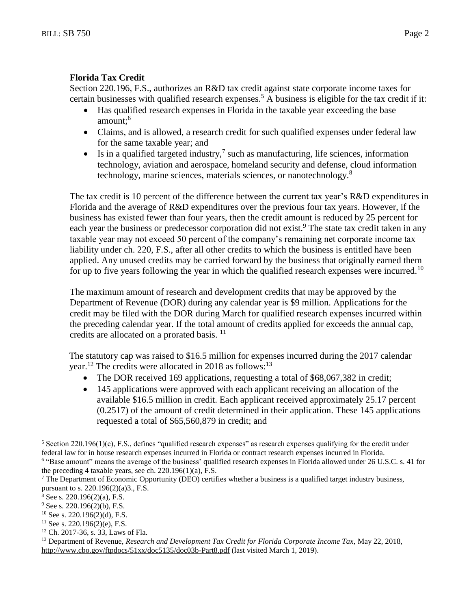#### **Florida Tax Credit**

Section 220.196, F.S., authorizes an R&D tax credit against state corporate income taxes for certain businesses with qualified research expenses.<sup>5</sup> A business is eligible for the tax credit if it:

- Has qualified research expenses in Florida in the taxable year exceeding the base amount:<sup>6</sup>
- Claims, and is allowed, a research credit for such qualified expenses under federal law for the same taxable year; and
- $\bullet$  Is in a qualified targeted industry,<sup>7</sup> such as manufacturing, life sciences, information technology, aviation and aerospace, homeland security and defense, cloud information technology, marine sciences, materials sciences, or nanotechnology.<sup>8</sup>

The tax credit is 10 percent of the difference between the current tax year's R&D expenditures in Florida and the average of R&D expenditures over the previous four tax years. However, if the business has existed fewer than four years, then the credit amount is reduced by 25 percent for each year the business or predecessor corporation did not exist.<sup>9</sup> The state tax credit taken in any taxable year may not exceed 50 percent of the company's remaining net corporate income tax liability under ch. 220, F.S., after all other credits to which the business is entitled have been applied. Any unused credits may be carried forward by the business that originally earned them for up to five years following the year in which the qualified research expenses were incurred.<sup>10</sup>

The maximum amount of research and development credits that may be approved by the Department of Revenue (DOR) during any calendar year is \$9 million. Applications for the credit may be filed with the DOR during March for qualified research expenses incurred within the preceding calendar year. If the total amount of credits applied for exceeds the annual cap, credits are allocated on a prorated basis. <sup>11</sup>

The statutory cap was raised to \$16.5 million for expenses incurred during the 2017 calendar year.<sup>12</sup> The credits were allocated in 2018 as follows:<sup>13</sup>

- The DOR received 169 applications, requesting a total of \$68,067,382 in credit;
- 145 applications were approved with each applicant receiving an allocation of the available \$16.5 million in credit. Each applicant received approximately 25.17 percent (0.2517) of the amount of credit determined in their application. These 145 applications requested a total of \$65,560,879 in credit; and

 $\overline{a}$ 

 $5$  Section 220.196(1)(c), F.S., defines "qualified research expenses" as research expenses qualifying for the credit under federal law for in house research expenses incurred in Florida or contract research expenses incurred in Florida.

<sup>&</sup>lt;sup>6</sup> "Base amount" means the average of the business' qualified research expenses in Florida allowed under 26 U.S.C. s. 41 for the preceding 4 taxable years, see ch. 220.196(1)(a), F.S.

<sup>7</sup> The Department of Economic Opportunity (DEO) certifies whether a business is a qualified target industry business, pursuant to s. 220.196(2)(a)3., F.S.

 $8$  See s. 220.196(2)(a), F.S.

 $9$  See s. 220.196(2)(b), F.S.

 $10$  See s. 220.196(2)(d), F.S.

 $11$  See s. 220.196(2)(e), F.S.

<sup>12</sup> Ch. 2017-36, s. 33, Laws of Fla.

<sup>&</sup>lt;sup>13</sup> Department of Revenue, *Research and Development Tax Credit for Florida Corporate Income Tax, May 22, 2018,* <http://www.cbo.gov/ftpdocs/51xx/doc5135/doc03b-Part8.pdf> (last visited March 1, 2019).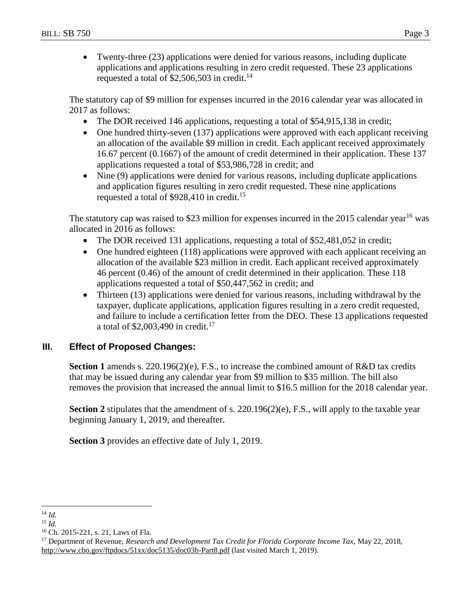Twenty-three (23) applications were denied for various reasons, including duplicate applications and applications resulting in zero credit requested. These 23 applications requested a total of  $$2,506,503$  in credit.<sup>14</sup>

The statutory cap of \$9 million for expenses incurred in the 2016 calendar year was allocated in 2017 as follows:

- The DOR received 146 applications, requesting a total of \$54,915,138 in credit;
- One hundred thirty-seven (137) applications were approved with each applicant receiving an allocation of the available \$9 million in credit. Each applicant received approximately 16.67 percent (0.1667) of the amount of credit determined in their application. These 137 applications requested a total of \$53,986,728 in credit; and
- Nine (9) applications were denied for various reasons, including duplicate applications and application figures resulting in zero credit requested. These nine applications requested a total of \$928,410 in credit.<sup>15</sup>

The statutory cap was raised to \$23 million for expenses incurred in the 2015 calendar year<sup>16</sup> was allocated in 2016 as follows:

- The DOR received 131 applications, requesting a total of \$52,481,052 in credit;
- One hundred eighteen (118) applications were approved with each applicant receiving an allocation of the available \$23 million in credit. Each applicant received approximately 46 percent (0.46) of the amount of credit determined in their application. These 118 applications requested a total of \$50,447,562 in credit; and
- Thirteen (13) applications were denied for various reasons, including withdrawal by the taxpayer, duplicate applications, application figures resulting in a zero credit requested, and failure to include a certification letter from the DEO. These 13 applications requested a total of  $$2,003,490$  in credit.<sup>17</sup>

# **III. Effect of Proposed Changes:**

**Section 1** amends s. 220.196(2)(e), F.S., to increase the combined amount of R&D tax credits that may be issued during any calendar year from \$9 million to \$35 million. The bill also removes the provision that increased the annual limit to \$16.5 million for the 2018 calendar year.

**Section 2** stipulates that the amendment of s. 220.196(2)(e), F.S., will apply to the taxable year beginning January 1, 2019, and thereafter.

**Section 3** provides an effective date of July 1, 2019.

 $\overline{a}$ 

<sup>14</sup> *Id.*

<sup>15</sup> *Id.*

<sup>16</sup> Ch. 2015-221, s. 21, Laws of Fla.

<sup>&</sup>lt;sup>17</sup> Department of Revenue, *Research and Development Tax Credit for Florida Corporate Income Tax, May 22, 2018*, <http://www.cbo.gov/ftpdocs/51xx/doc5135/doc03b-Part8.pdf> (last visited March 1, 2019).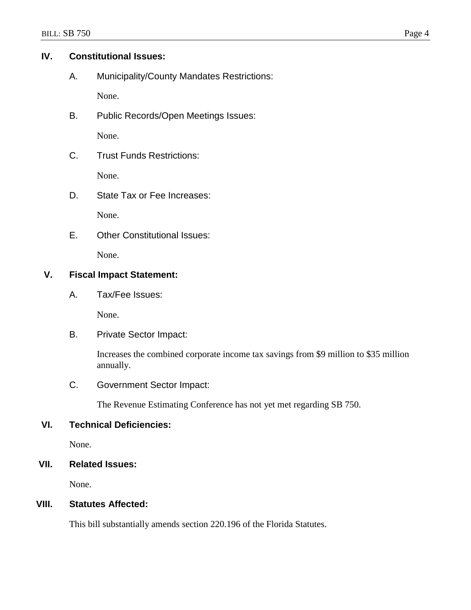# **IV. Constitutional Issues:**

A. Municipality/County Mandates Restrictions:

None.

B. Public Records/Open Meetings Issues:

None.

C. Trust Funds Restrictions:

None.

D. State Tax or Fee Increases:

None.

E. Other Constitutional Issues:

None.

# **V. Fiscal Impact Statement:**

A. Tax/Fee Issues:

None.

B. Private Sector Impact:

Increases the combined corporate income tax savings from \$9 million to \$35 million annually.

C. Government Sector Impact:

The Revenue Estimating Conference has not yet met regarding SB 750.

# **VI. Technical Deficiencies:**

None.

**VII. Related Issues:**

None.

# **VIII. Statutes Affected:**

This bill substantially amends section 220.196 of the Florida Statutes.